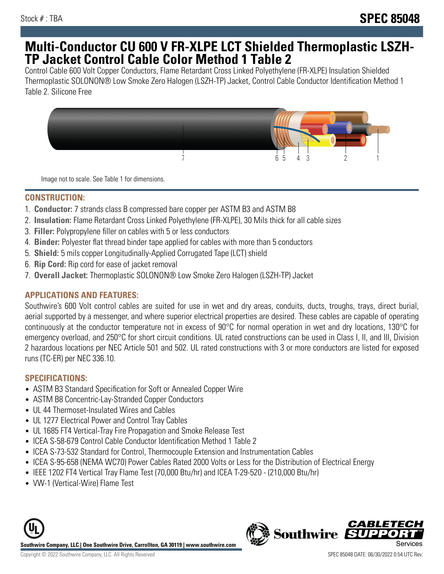# **Multi-Conductor CU 600 V FR-XLPE LCT Shielded Thermoplastic LSZH-TP Jacket Control Cable Color Method 1 Table 2**

Control Cable 600 Volt Copper Conductors, Flame Retardant Cross Linked Polyethylene (FR-XLPE) Insulation Shielded Thermoplastic SOLONON® Low Smoke Zero Halogen (LSZH-TP) Jacket, Control Cable Conductor Identification Method 1 Table 2. Silicone Free



Image not to scale. See Table 1 for dimensions.

### **CONSTRUCTION:**

- 1. **Conductor:** 7 strands class B compressed bare copper per ASTM B3 and ASTM B8
- 2. **Insulation:** Flame Retardant Cross Linked Polyethylene (FR-XLPE), 30 Mils thick for all cable sizes
- 3. **Filler:** Polypropylene filler on cables with 5 or less conductors
- 4. **Binder:** Polyester flat thread binder tape applied for cables with more than 5 conductors
- 5. **Shield:** 5 mils copper Longitudinally-Applied Corrugated Tape (LCT) shield
- 6. **Rip Cord:** Rip cord for ease of jacket removal
- 7. **Overall Jacket:** Thermoplastic SOLONON® Low Smoke Zero Halogen (LSZH-TP) Jacket

#### **APPLICATIONS AND FEATURES:**

Southwire's 600 Volt control cables are suited for use in wet and dry areas, conduits, ducts, troughs, trays, direct burial, aerial supported by a messenger, and where superior electrical properties are desired. These cables are capable of operating continuously at the conductor temperature not in excess of 90°C for normal operation in wet and dry locations, 130°C for emergency overload, and 250°C for short circuit conditions. UL rated constructions can be used in Class I, II, and III, Division 2 hazardous locations per NEC Article 501 and 502. UL rated constructions with 3 or more conductors are listed for exposed runs (TC-ER) per NEC 336.10.

## **SPECIFICATIONS:**

- ASTM B3 Standard Specification for Soft or Annealed Copper Wire
- ASTM B8 Concentric-Lay-Stranded Copper Conductors
- UL 44 Thermoset-Insulated Wires and Cables
- UL 1277 Electrical Power and Control Tray Cables
- UL 1685 FT4 Vertical-Tray Fire Propagation and Smoke Release Test
- ICEA S-58-679 Control Cable Conductor Identification Method 1 Table 2
- ICEA S-73-532 Standard for Control, Thermocouple Extension and Instrumentation Cables
- ICEA S-95-658 (NEMA WC70) Power Cables Rated 2000 Volts or Less for the Distribution of Electrical Energy
- IEEE 1202 FT4 Vertical Tray Flame Test (70,000 Btu/hr) and ICEA T-29-520 (210,000 Btu/hr)
- VW-1 (Vertical-Wire) Flame Test



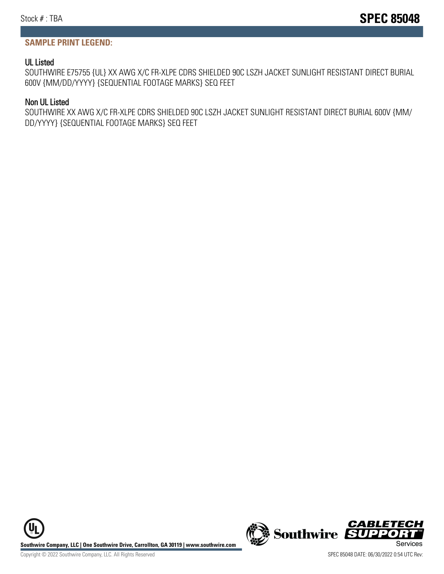#### **SAMPLE PRINT LEGEND:**

#### UL Listed

SOUTHWIRE E75755 {UL} XX AWG X/C FR-XLPE CDRS SHIELDED 90C LSZH JACKET SUNLIGHT RESISTANT DIRECT BURIAL 600V {MM/DD/YYYY} {SEQUENTIAL FOOTAGE MARKS} SEQ FEET

#### Non UL Listed

SOUTHWIRE XX AWG X/C FR-XLPE CDRS SHIELDED 90C LSZH JACKET SUNLIGHT RESISTANT DIRECT BURIAL 600V {MM/ DD/YYYY} {SEQUENTIAL FOOTAGE MARKS} SEQ FEET